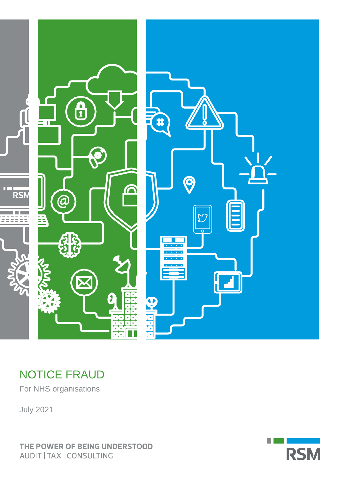

# NOTICE FRAUD

For NHS organisations

July 2021

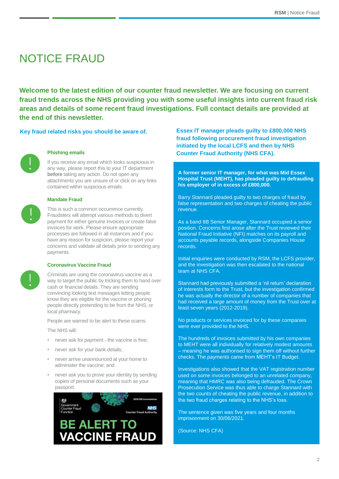# NOTICE FRAUD

**Welcome to the latest edition of our counter fraud newsletter. We are focusing on current fraud trends across the NHS providing you with some useful insights into current fraud risk areas and details of some recent fraud investigations. Full contact details are provided at the end of this newsletter.**



### **Phishing emails**

If you receive any email which looks suspicious in any way, please report this to your IT department **before** taking any action. Do not open any attachments you are unsure of or click on any links contained within suspicious emails.

## **Mandate Fraud**

This is such a common occurrence currently. Fraudsters will attempt various methods to divert payment for either genuine invoices or create false invoices for work. Please ensure appropriate processes are followed in all instances and if you have any reason for suspicion, please report your concerns and validate all details prior to sending any payments.

### **Coronavirus Vaccine Fraud**



Criminals are using the coronavirus vaccine as a way to target the public by tricking them to hand over cash or financial details. They are sending convincing looking text messages letting people know they are eligible for the vaccine or phoning people directly pretending to be from the NHS, or local pharmacy.

People are warned to be alert to these scams.

The NHS will:

- never ask for payment the vaccine is free;
- never ask for your bank details;
- never arrive unannounced at your home to administer the vaccine; and
- never ask you to prove your identity by sending copies of personal documents such as your passport.



**Key fraud related risks you should be aware of. Essex IT manager pleads guilty to £800,000 NHS fraud following procurement fraud investigation initiated by the local LCFS and then by NHS Counter Fraud Authority (NHS CFA).**

> **A former senior IT manager, for what was Mid Essex Hospital Trust (MEHT), has pleaded guilty to defrauding his employer of in excess of £800,000.**

> Barry Stannard pleaded guilty to two charges of fraud by false representation and two charges of cheating the public revenue.

> As a band 8B Senior Manager, Stannard occupied a senior position. Concerns first arose after the Trust reviewed their National Fraud Initiative (NFI) matches on its payroll and accounts payable records, alongside Companies House records.

Initial enquiries were conducted by RSM, the LCFS provider, and the investigation was then escalated to the national team at NHS CFA.

Stannard had previously submitted a 'nil return' declaration of interests form to the Trust, but the investigation confirmed he was actually the director of a number of companies that had received a large amount of money from the Trust over at least seven years (2012-2019).

No products or services invoiced for by these companies were ever provided to the NHS.

The hundreds of invoices submitted by his own companies to MEHT were all individually for relatively modest amounts – meaning he was authorised to sign them off without further checks. The payments came from MEHT's IT Budget.

Investigations also showed that the VAT registration number used on some invoices belonged to an unrelated company, meaning that HMRC was also being defrauded. The Crown Prosecution Service was thus able to charge Stannard with the two counts of cheating the public revenue, in addition to the two fraud charges relating to the NHS's loss.

The sentence given was five years and four months imprisonment on 30/06/2021.

(Source: NHS CFA)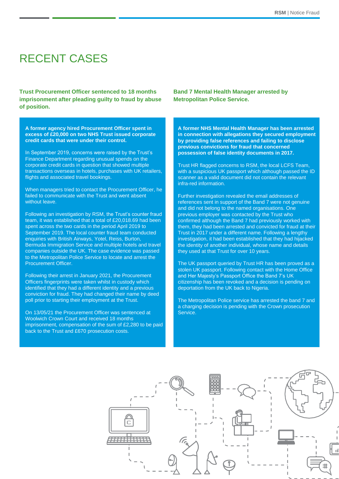## RECENT CASES

**Trust Procurement Officer sentenced to 18 months imprisonment after pleading guilty to fraud by abuse of position.**

**A former agency hired Procurement Officer spent in excess of £20,000 on two NHS Trust issued corporate credit cards that were under their control.**

In September 2019, concerns were raised by the Trust's Finance Department regarding unusual spends on the corporate credit cards in question that showed multiple transactions overseas in hotels, purchases with UK retailers, flights and associated travel bookings.

When managers tried to contact the Procurement Officer, he failed to communicate with the Trust and went absent without leave.

Following an investigation by RSM, the Trust's counter fraud team, it was established that a total of £20,018.69 had been spent across the two cards in the period April 2019 to September 2019. The local counter fraud team conducted enquiries with British Airways, Yotel, Reiss, Burton, Bermuda Immigration Service and multiple hotels and travel companies outside the UK. The case evidence was passed to the Metropolitan Police Service to locate and arrest the Procurement Officer.

Following their arrest in January 2021, the Procurement Officers fingerprints were taken whilst in custody which identified that they had a different identity and a previous conviction for fraud. They had changed their name by deed poll prior to starting their employment at the Trust.

On 13/05/21 the Procurement Officer was sentenced at Woolwich Crown Court and received 18 months imprisonment, compensation of the sum of £2,280 to be paid back to the Trust and £670 prosecution costs.

**Band 7 Mental Health Manager arrested by Metropolitan Police Service.** 

**A former NHS Mental Health Manager has been arrested in connection with allegations they secured employment by providing false references and failing to disclose previous convictions for fraud that concerned possession of false identity documents in 2017.**

Trust HR flagged concerns to RSM, the local LCFS Team, with a suspicious UK passport which although passed the ID scanner as a valid document did not contain the relevant infra-red information.

Further investigation revealed the email addresses of references sent in support of the Band 7 were not genuine and did not belong to the named organisations. One previous employer was contacted by the Trust who confirmed although the Band 7 had previously worked with them, they had been arrested and convicted for fraud at their Trust in 2017 under a different name. Following a lengthy investigation, it had been established that they had hijacked the identity of another individual, whose name and details they used at that Trust for over 10 years.

The UK passport queried by Trust HR has been proved as a stolen UK passport. Following contact with the Home Office and Her Majesty's Passport Office the Band 7's UK citizenship has been revoked and a decision is pending on deportation from the UK back to Nigeria.

The Metropolitan Police service has arrested the band 7 and a charging decision is pending with the Crown prosecution Service.

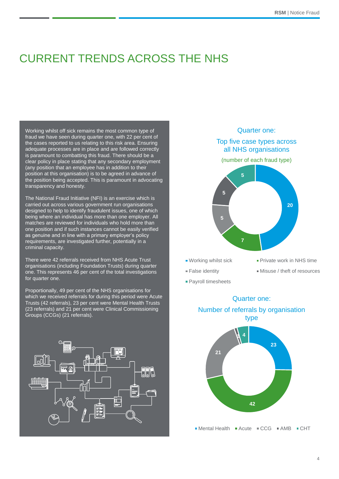# CURRENT TRENDS ACROSS THE NHS

Working whilst off sick remains the most common type of fraud we have seen during quarter one, with 22 per cent of the cases reported to us relating to this risk area. Ensuring adequate processes are in place and are followed correctly is paramount to combatting this fraud. There should be a clear policy in place stating that any secondary employment (any position that an employee has in addition to their position at this organisation) is to be agreed in advance of the position being accepted. This is paramount in advocating transparency and honesty.

The National Fraud Initiative (NFI) is an exercise which is carried out across various government run organisations designed to help to identify fraudulent issues, one of which being where an individual has more than one employer. All matches are reviewed for individuals who hold more than one position and if such instances cannot be easily verified as genuine and in line with a primary employer's policy requirements, are investigated further, potentially in a criminal capacity.

There were 42 referrals received from NHS Acute Trust organisations (including Foundation Trusts) during quarter one. This represents 46 per cent of the total investigations for quarter one.

Proportionally, 49 per cent of the NHS organisations for which we received referrals for during this period were Acute Trusts (42 referrals), 23 per cent were Mental Health Trusts (23 referrals) and 21 per cent were Clinical Commissioning Groups (CCGs) (21 referrals).





- 
- **Payroll timesheets**
- 
- False identity Misuse / theft of resources



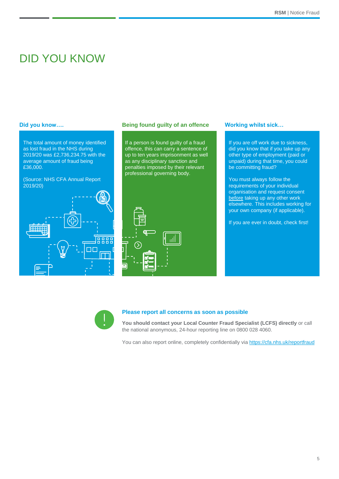## DID YOU KNOW

The total amount of money identified as lost fraud in the NHS during 2019/20 was £2,736,234.75 with the average amount of fraud being £36,000.

### (Source: NHS CFA Annual Report 2019/20)



### **Did you know…. Being found guilty of an offence Working whilst sick…**

If a person is found guilty of a fraud offence, this can carry a sentence of up to ten years imprisonment as well as any disciplinary sanction and penalties imposed by their relevant professional governing body.



If you are off work due to sickness, did you know that if you take up any other type of employment (paid or unpaid) during that time, you could be committing fraud?

You must always follow the requirements of your individual organisation and request consent before taking up any other work elsewhere. This includes working for your own company (if applicable).

If you are ever in doubt, check first!



### **Please report all concerns as soon as possible**

**You should contact your Local Counter Fraud Specialist (LCFS) directly** or call the national anonymous, 24-hour reporting line on 0800 028 4060.

You can also report online, completely confidentially via <https://cfa.nhs.uk/reportfraud>